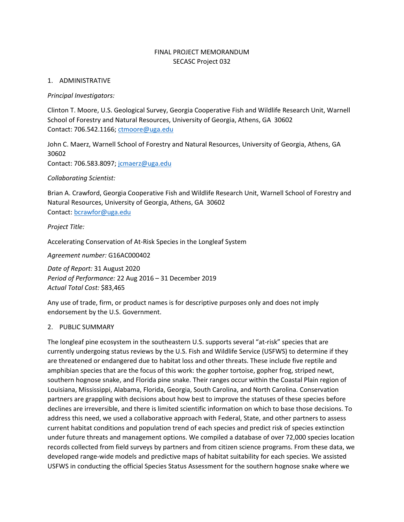# FINAL PROJECT MEMORANDUM SECASC Project 032

# 1. ADMINISTRATIVE

## *Principal Investigators:*

Clinton T. Moore, U.S. Geological Survey, Georgia Cooperative Fish and Wildlife Research Unit, Warnell School of Forestry and Natural Resources, University of Georgia, Athens, GA 30602 Contact: 706.542.1166; [ctmoore@uga.edu](mailto:ctmoore@uga.edu)

John C. Maerz, Warnell School of Forestry and Natural Resources, University of Georgia, Athens, GA 30602 Contact: 706.583.8097; [jcmaerz@uga.edu](mailto:jcmaerz@uga.edu)

*Collaborating Scientist:*

Brian A. Crawford, Georgia Cooperative Fish and Wildlife Research Unit, Warnell School of Forestry and Natural Resources, University of Georgia, Athens, GA 30602 Contact: [bcrawfor@uga.edu](mailto:bcrawfor@uga.edu)

*Project Title:*

Accelerating Conservation of At-Risk Species in the Longleaf System

*Agreement number:* G16AC000402

*Date of Report:* 31 August 2020 *Period of Performance:* 22 Aug 2016 – 31 December 2019 *Actual Total Cost:* \$83,465

Any use of trade, firm, or product names is for descriptive purposes only and does not imply endorsement by the U.S. Government.

## 2. PUBLIC SUMMARY

The longleaf pine ecosystem in the southeastern U.S. supports several "at-risk" species that are currently undergoing status reviews by the U.S. Fish and Wildlife Service (USFWS) to determine if they are threatened or endangered due to habitat loss and other threats. These include five reptile and amphibian species that are the focus of this work: the gopher tortoise, gopher frog, striped newt, southern hognose snake, and Florida pine snake. Their ranges occur within the Coastal Plain region of Louisiana, Mississippi, Alabama, Florida, Georgia, South Carolina, and North Carolina. Conservation partners are grappling with decisions about how best to improve the statuses of these species before declines are irreversible, and there is limited scientific information on which to base those decisions. To address this need, we used a collaborative approach with Federal, State, and other partners to assess current habitat conditions and population trend of each species and predict risk of species extinction under future threats and management options. We compiled a database of over 72,000 species location records collected from field surveys by partners and from citizen science programs. From these data, we developed range-wide models and predictive maps of habitat suitability for each species. We assisted USFWS in conducting the official Species Status Assessment for the southern hognose snake where we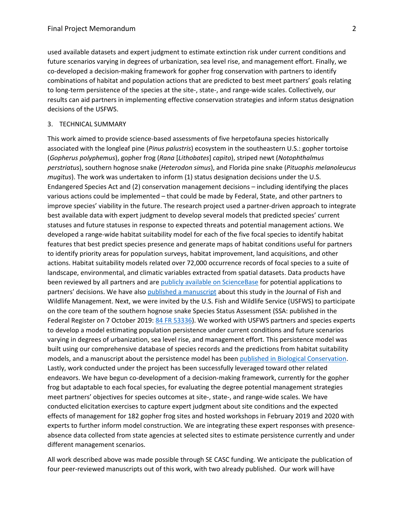used available datasets and expert judgment to estimate extinction risk under current conditions and future scenarios varying in degrees of urbanization, sea level rise, and management effort. Finally, we co-developed a decision-making framework for gopher frog conservation with partners to identify combinations of habitat and population actions that are predicted to best meet partners' goals relating to long-term persistence of the species at the site-, state-, and range-wide scales. Collectively, our results can aid partners in implementing effective conservation strategies and inform status designation decisions of the USFWS.

#### 3. TECHNICAL SUMMARY

This work aimed to provide science-based assessments of five herpetofauna species historically associated with the longleaf pine (*Pinus palustris*) ecosystem in the southeastern U.S.: gopher tortoise (*Gopherus polyphemus*), gopher frog (*Rana* [*Lithobates*] *capito*), striped newt (*Notophthalmus perstriatus*), southern hognose snake (*Heterodon simus*), and Florida pine snake (*Pituophis melanoleucus mugitus*). The work was undertaken to inform (1) status designation decisions under the U.S. Endangered Species Act and (2) conservation management decisions – including identifying the places various actions could be implemented – that could be made by Federal, State, and other partners to improve species' viability in the future. The research project used a partner-driven approach to integrate best available data with expert judgment to develop several models that predicted species' current statuses and future statuses in response to expected threats and potential management actions. We developed a range-wide habitat suitability model for each of the five focal species to identify habitat features that best predict species presence and generate maps of habitat conditions useful for partners to identify priority areas for population surveys, habitat improvement, land acquisitions, and other actions. Habitat suitability models related over 72,000 occurrence records of focal species to a suite of landscape, environmental, and climatic variables extracted from spatial datasets. Data products have been reviewed by all partners and ar[e publicly available on ScienceBase](https://www.sciencebase.gov/catalog/item/5d0d2d45e4b0941bde52a20d) for potential applications to partners' decisions. We have also [published a manuscript](https://www.fwspubs.org/doi/abs/10.3996/092019-JFWM-075) about this study in the Journal of Fish and Wildlife Management. Next, we were invited by the U.S. Fish and Wildlife Service (USFWS) to participate on the core team of the southern hognose snake Species Status Assessment (SSA: published in the Federal Register on 7 October 2019[: 84 FR 53336\)](https://www.federalregister.gov/d/2019-21605). We worked with USFWS partners and species experts to develop a model estimating population persistence under current conditions and future scenarios varying in degrees of urbanization, sea level rise, and management effort. This persistence model was built using our comprehensive database of species records and the predictions from habitat suitability models, and a manuscript about the persistence model has bee[n published in Biological Conservation.](https://doi.org/10.1016/j.biocon.2020.108489) Lastly, work conducted under the project has been successfully leveraged toward other related endeavors. We have begun co-development of a decision-making framework, currently for the gopher frog but adaptable to each focal species, for evaluating the degree potential management strategies meet partners' objectives for species outcomes at site-, state-, and range-wide scales. We have conducted elicitation exercises to capture expert judgment about site conditions and the expected effects of management for 182 gopher frog sites and hosted workshops in February 2019 and 2020 with experts to further inform model construction. We are integrating these expert responses with presenceabsence data collected from state agencies at selected sites to estimate persistence currently and under different management scenarios.

All work described above was made possible through SE CASC funding. We anticipate the publication of four peer-reviewed manuscripts out of this work, with two already published. Our work will have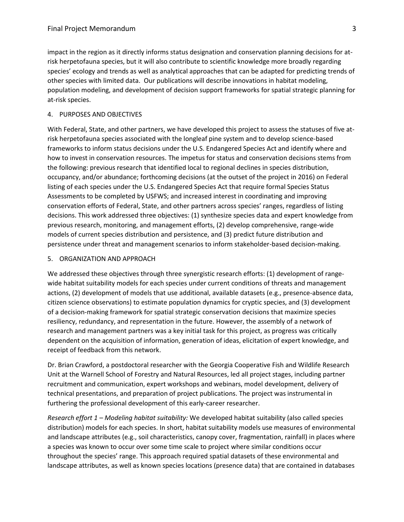impact in the region as it directly informs status designation and conservation planning decisions for atrisk herpetofauna species, but it will also contribute to scientific knowledge more broadly regarding species' ecology and trends as well as analytical approaches that can be adapted for predicting trends of other species with limited data. Our publications will describe innovations in habitat modeling, population modeling, and development of decision support frameworks for spatial strategic planning for at-risk species.

#### 4. PURPOSES AND OBJECTIVES

With Federal, State, and other partners, we have developed this project to assess the statuses of five atrisk herpetofauna species associated with the longleaf pine system and to develop science-based frameworks to inform status decisions under the U.S. Endangered Species Act and identify where and how to invest in conservation resources. The impetus for status and conservation decisions stems from the following: previous research that identified local to regional declines in species distribution, occupancy, and/or abundance; forthcoming decisions (at the outset of the project in 2016) on Federal listing of each species under the U.S. Endangered Species Act that require formal Species Status Assessments to be completed by USFWS; and increased interest in coordinating and improving conservation efforts of Federal, State, and other partners across species' ranges, regardless of listing decisions. This work addressed three objectives: (1) synthesize species data and expert knowledge from previous research, monitoring, and management efforts, (2) develop comprehensive, range-wide models of current species distribution and persistence, and (3) predict future distribution and persistence under threat and management scenarios to inform stakeholder-based decision-making.

## 5. ORGANIZATION AND APPROACH

We addressed these objectives through three synergistic research efforts: (1) development of rangewide habitat suitability models for each species under current conditions of threats and management actions, (2) development of models that use additional, available datasets (e.g., presence-absence data, citizen science observations) to estimate population dynamics for cryptic species, and (3) development of a decision-making framework for spatial strategic conservation decisions that maximize species resiliency, redundancy, and representation in the future. However, the assembly of a network of research and management partners was a key initial task for this project, as progress was critically dependent on the acquisition of information, generation of ideas, elicitation of expert knowledge, and receipt of feedback from this network.

Dr. Brian Crawford, a postdoctoral researcher with the Georgia Cooperative Fish and Wildlife Research Unit at the Warnell School of Forestry and Natural Resources, led all project stages, including partner recruitment and communication, expert workshops and webinars, model development, delivery of technical presentations, and preparation of project publications. The project was instrumental in furthering the professional development of this early-career researcher.

*Research effort 1 – Modeling habitat suitability:* We developed habitat suitability (also called species distribution) models for each species. In short, habitat suitability models use measures of environmental and landscape attributes (e.g., soil characteristics, canopy cover, fragmentation, rainfall) in places where a species was known to occur over some time scale to project where similar conditions occur throughout the species' range. This approach required spatial datasets of these environmental and landscape attributes, as well as known species locations (presence data) that are contained in databases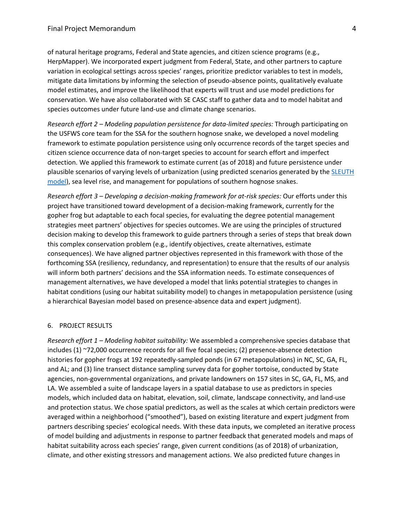of natural heritage programs, Federal and State agencies, and citizen science programs (e.g., HerpMapper). We incorporated expert judgment from Federal, State, and other partners to capture variation in ecological settings across species' ranges, prioritize predictor variables to test in models, mitigate data limitations by informing the selection of pseudo-absence points, qualitatively evaluate model estimates, and improve the likelihood that experts will trust and use model predictions for conservation. We have also collaborated with SE CASC staff to gather data and to model habitat and species outcomes under future land-use and climate change scenarios.

*Research effort 2 – Modeling population persistence for data-limited species:* Through participating on the USFWS core team for the SSA for the southern hognose snake, we developed a novel modeling framework to estimate population persistence using only occurrence records of the target species and citizen science occurrence data of non-target species to account for search effort and imperfect detection. We applied this framework to estimate current (as of 2018) and future persistence under plausible scenarios of varying levels of urbanization (using predicted scenarios generated by the [SLEUTH](http://www.ncgia.ucsb.edu/projects/gig/index.html)  [model\)](http://www.ncgia.ucsb.edu/projects/gig/index.html), sea level rise, and management for populations of southern hognose snakes.

*Research effort 3 – Developing a decision-making framework for at-risk species:* Our efforts under this project have transitioned toward development of a decision-making framework, currently for the gopher frog but adaptable to each focal species, for evaluating the degree potential management strategies meet partners' objectives for species outcomes. We are using the principles of structured decision making to develop this framework to guide partners through a series of steps that break down this complex conservation problem (e.g., identify objectives, create alternatives, estimate consequences). We have aligned partner objectives represented in this framework with those of the forthcoming SSA (resiliency, redundancy, and representation) to ensure that the results of our analysis will inform both partners' decisions and the SSA information needs. To estimate consequences of management alternatives, we have developed a model that links potential strategies to changes in habitat conditions (using our habitat suitability model) to changes in metapopulation persistence (using a hierarchical Bayesian model based on presence-absence data and expert judgment).

#### 6. PROJECT RESULTS

*Research effort 1 – Modeling habitat suitability:* We assembled a comprehensive species database that includes (1) ~72,000 occurrence records for all five focal species; (2) presence-absence detection histories for gopher frogs at 192 repeatedly-sampled ponds (in 67 metapopulations) in NC, SC, GA, FL, and AL; and (3) line transect distance sampling survey data for gopher tortoise, conducted by State agencies, non-governmental organizations, and private landowners on 157 sites in SC, GA, FL, MS, and LA. We assembled a suite of landscape layers in a spatial database to use as predictors in species models, which included data on habitat, elevation, soil, climate, landscape connectivity, and land-use and protection status. We chose spatial predictors, as well as the scales at which certain predictors were averaged within a neighborhood ("smoothed"), based on existing literature and expert judgment from partners describing species' ecological needs. With these data inputs, we completed an iterative process of model building and adjustments in response to partner feedback that generated models and maps of habitat suitability across each species' range, given current conditions (as of 2018) of urbanization, climate, and other existing stressors and management actions. We also predicted future changes in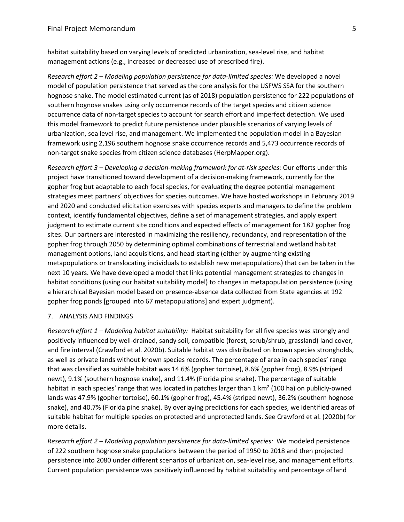habitat suitability based on varying levels of predicted urbanization, sea-level rise, and habitat management actions (e.g., increased or decreased use of prescribed fire).

*Research effort 2 – Modeling population persistence for data-limited species:* We developed a novel model of population persistence that served as the core analysis for the USFWS SSA for the southern hognose snake. The model estimated current (as of 2018) population persistence for 222 populations of southern hognose snakes using only occurrence records of the target species and citizen science occurrence data of non-target species to account for search effort and imperfect detection. We used this model framework to predict future persistence under plausible scenarios of varying levels of urbanization, sea level rise, and management. We implemented the population model in a Bayesian framework using 2,196 southern hognose snake occurrence records and 5,473 occurrence records of non-target snake species from citizen science databases (HerpMapper.org).

*Research effort 3 – Developing a decision-making framework for at-risk species:* Our efforts under this project have transitioned toward development of a decision-making framework, currently for the gopher frog but adaptable to each focal species, for evaluating the degree potential management strategies meet partners' objectives for species outcomes. We have hosted workshops in February 2019 and 2020 and conducted elicitation exercises with species experts and managers to define the problem context, identify fundamental objectives, define a set of management strategies, and apply expert judgment to estimate current site conditions and expected effects of management for 182 gopher frog sites. Our partners are interested in maximizing the resiliency, redundancy, and representation of the gopher frog through 2050 by determining optimal combinations of terrestrial and wetland habitat management options, land acquisitions, and head-starting (either by augmenting existing metapopulations or translocating individuals to establish new metapopulations) that can be taken in the next 10 years. We have developed a model that links potential management strategies to changes in habitat conditions (using our habitat suitability model) to changes in metapopulation persistence (using a hierarchical Bayesian model based on presence-absence data collected from State agencies at 192 gopher frog ponds [grouped into 67 metapopulations] and expert judgment).

## 7. ANALYSIS AND FINDINGS

*Research effort 1 – Modeling habitat suitability:* Habitat suitability for all five species was strongly and positively influenced by well-drained, sandy soil, compatible (forest, scrub/shrub, grassland) land cover, and fire interval (Crawford et al. 2020b). Suitable habitat was distributed on known species strongholds, as well as private lands without known species records. The percentage of area in each species' range that was classified as suitable habitat was 14.6% (gopher tortoise), 8.6% (gopher frog), 8.9% (striped newt), 9.1% (southern hognose snake), and 11.4% (Florida pine snake). The percentage of suitable habitat in each species' range that was located in patches larger than 1 km<sup>2</sup> (100 ha) on publicly-owned lands was 47.9% (gopher tortoise), 60.1% (gopher frog), 45.4% (striped newt), 36.2% (southern hognose snake), and 40.7% (Florida pine snake). By overlaying predictions for each species, we identified areas of suitable habitat for multiple species on protected and unprotected lands. See Crawford et al. (2020b) for more details.

*Research effort 2 – Modeling population persistence for data-limited species:* We modeled persistence of 222 southern hognose snake populations between the period of 1950 to 2018 and then projected persistence into 2080 under different scenarios of urbanization, sea-level rise, and management efforts. Current population persistence was positively influenced by habitat suitability and percentage of land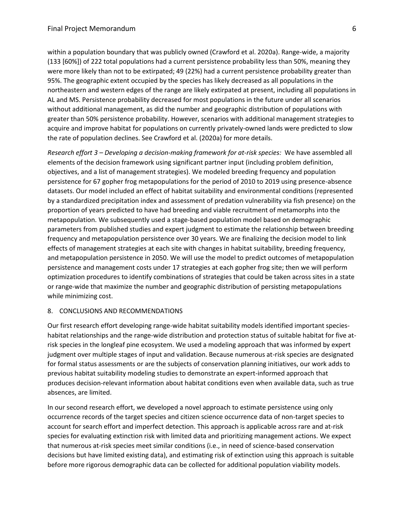within a population boundary that was publicly owned (Crawford et al. 2020a). Range-wide, a majority (133 [60%]) of 222 total populations had a current persistence probability less than 50%, meaning they were more likely than not to be extirpated; 49 (22%) had a current persistence probability greater than 95%. The geographic extent occupied by the species has likely decreased as all populations in the northeastern and western edges of the range are likely extirpated at present, including all populations in AL and MS. Persistence probability decreased for most populations in the future under all scenarios without additional management, as did the number and geographic distribution of populations with greater than 50% persistence probability. However, scenarios with additional management strategies to acquire and improve habitat for populations on currently privately-owned lands were predicted to slow the rate of population declines. See Crawford et al. (2020a) for more details.

*Research effort 3 – Developing a decision-making framework for at-risk species:* We have assembled all elements of the decision framework using significant partner input (including problem definition, objectives, and a list of management strategies). We modeled breeding frequency and population persistence for 67 gopher frog metapopulations for the period of 2010 to 2019 using presence-absence datasets. Our model included an effect of habitat suitability and environmental conditions (represented by a standardized precipitation index and assessment of predation vulnerability via fish presence) on the proportion of years predicted to have had breeding and viable recruitment of metamorphs into the metapopulation. We subsequently used a stage-based population model based on demographic parameters from published studies and expert judgment to estimate the relationship between breeding frequency and metapopulation persistence over 30 years. We are finalizing the decision model to link effects of management strategies at each site with changes in habitat suitability, breeding frequency, and metapopulation persistence in 2050. We will use the model to predict outcomes of metapopulation persistence and management costs under 17 strategies at each gopher frog site; then we will perform optimization procedures to identify combinations of strategies that could be taken across sites in a state or range-wide that maximize the number and geographic distribution of persisting metapopulations while minimizing cost.

#### 8. CONCLUSIONS AND RECOMMENDATIONS

Our first research effort developing range-wide habitat suitability models identified important specieshabitat relationships and the range-wide distribution and protection status of suitable habitat for five atrisk species in the longleaf pine ecosystem. We used a modeling approach that was informed by expert judgment over multiple stages of input and validation. Because numerous at-risk species are designated for formal status assessments or are the subjects of conservation planning initiatives, our work adds to previous habitat suitability modeling studies to demonstrate an expert-informed approach that produces decision-relevant information about habitat conditions even when available data, such as true absences, are limited.

In our second research effort, we developed a novel approach to estimate persistence using only occurrence records of the target species and citizen science occurrence data of non-target species to account for search effort and imperfect detection. This approach is applicable across rare and at-risk species for evaluating extinction risk with limited data and prioritizing management actions. We expect that numerous at-risk species meet similar conditions (i.e., in need of science-based conservation decisions but have limited existing data), and estimating risk of extinction using this approach is suitable before more rigorous demographic data can be collected for additional population viability models.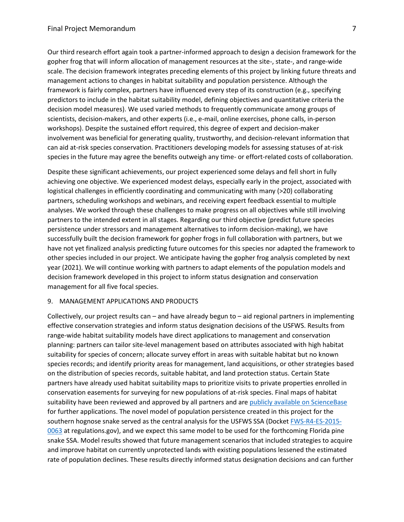Our third research effort again took a partner-informed approach to design a decision framework for the gopher frog that will inform allocation of management resources at the site-, state-, and range-wide scale. The decision framework integrates preceding elements of this project by linking future threats and management actions to changes in habitat suitability and population persistence. Although the framework is fairly complex, partners have influenced every step of its construction (e.g., specifying predictors to include in the habitat suitability model, defining objectives and quantitative criteria the decision model measures). We used varied methods to frequently communicate among groups of scientists, decision-makers, and other experts (i.e., e-mail, online exercises, phone calls, in-person workshops). Despite the sustained effort required, this degree of expert and decision-maker involvement was beneficial for generating quality, trustworthy, and decision-relevant information that can aid at-risk species conservation. Practitioners developing models for assessing statuses of at-risk species in the future may agree the benefits outweigh any time- or effort-related costs of collaboration.

Despite these significant achievements, our project experienced some delays and fell short in fully achieving one objective. We experienced modest delays, especially early in the project, associated with logistical challenges in efficiently coordinating and communicating with many (>20) collaborating partners, scheduling workshops and webinars, and receiving expert feedback essential to multiple analyses. We worked through these challenges to make progress on all objectives while still involving partners to the intended extent in all stages. Regarding our third objective (predict future species persistence under stressors and management alternatives to inform decision-making), we have successfully built the decision framework for gopher frogs in full collaboration with partners, but we have not yet finalized analysis predicting future outcomes for this species nor adapted the framework to other species included in our project. We anticipate having the gopher frog analysis completed by next year (2021). We will continue working with partners to adapt elements of the population models and decision framework developed in this project to inform status designation and conservation management for all five focal species.

## 9. MANAGEMENT APPLICATIONS AND PRODUCTS

Collectively, our project results can – and have already begun to – aid regional partners in implementing effective conservation strategies and inform status designation decisions of the USFWS. Results from range-wide habitat suitability models have direct applications to management and conservation planning: partners can tailor site-level management based on attributes associated with high habitat suitability for species of concern; allocate survey effort in areas with suitable habitat but no known species records; and identify priority areas for management, land acquisitions, or other strategies based on the distribution of species records, suitable habitat, and land protection status. Certain State partners have already used habitat suitability maps to prioritize visits to private properties enrolled in conservation easements for surveying for new populations of at-risk species. Final maps of habitat suitability have been reviewed and approved by all partners and are [publicly available on ScienceBase](https://www.sciencebase.gov/catalog/item/5d0d2d45e4b0941bde52a20d) for further applications. The novel model of population persistence created in this project for the southern hognose snake served as the central analysis for the USFWS SSA (Docket [FWS-R4-ES-2015-](https://www.regulations.gov/docket?D=FWS-R4-ES-2015-0063) [0063](https://www.regulations.gov/docket?D=FWS-R4-ES-2015-0063) at regulations.gov), and we expect this same model to be used for the forthcoming Florida pine snake SSA. Model results showed that future management scenarios that included strategies to acquire and improve habitat on currently unprotected lands with existing populations lessened the estimated rate of population declines. These results directly informed status designation decisions and can further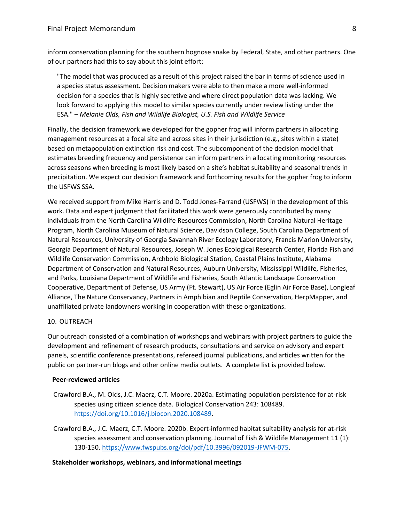inform conservation planning for the southern hognose snake by Federal, State, and other partners. One of our partners had this to say about this joint effort:

"The model that was produced as a result of this project raised the bar in terms of science used in a species status assessment. Decision makers were able to then make a more well-informed decision for a species that is highly secretive and where direct population data was lacking. We look forward to applying this model to similar species currently under review listing under the ESA." – *Melanie Olds, Fish and Wildlife Biologist, U.S. Fish and Wildlife Service*

Finally, the decision framework we developed for the gopher frog will inform partners in allocating management resources at a focal site and across sites in their jurisdiction (e.g., sites within a state) based on metapopulation extinction risk and cost. The subcomponent of the decision model that estimates breeding frequency and persistence can inform partners in allocating monitoring resources across seasons when breeding is most likely based on a site's habitat suitability and seasonal trends in precipitation. We expect our decision framework and forthcoming results for the gopher frog to inform the USFWS SSA.

We received support from Mike Harris and D. Todd Jones-Farrand (USFWS) in the development of this work. Data and expert judgment that facilitated this work were generously contributed by many individuals from the North Carolina Wildlife Resources Commission, North Carolina Natural Heritage Program, North Carolina Museum of Natural Science, Davidson College, South Carolina Department of Natural Resources, University of Georgia Savannah River Ecology Laboratory, Francis Marion University, Georgia Department of Natural Resources, Joseph W. Jones Ecological Research Center, Florida Fish and Wildlife Conservation Commission, Archbold Biological Station, Coastal Plains Institute, Alabama Department of Conservation and Natural Resources, Auburn University, Mississippi Wildlife, Fisheries, and Parks, Louisiana Department of Wildlife and Fisheries, South Atlantic Landscape Conservation Cooperative, Department of Defense, US Army (Ft. Stewart), US Air Force (Eglin Air Force Base), Longleaf Alliance, The Nature Conservancy, Partners in Amphibian and Reptile Conservation, HerpMapper, and unaffiliated private landowners working in cooperation with these organizations.

#### 10. OUTREACH

Our outreach consisted of a combination of workshops and webinars with project partners to guide the development and refinement of research products, consultations and service on advisory and expert panels, scientific conference presentations, refereed journal publications, and articles written for the public on partner-run blogs and other online media outlets. A complete list is provided below.

### **Peer-reviewed articles**

- Crawford B.A., M. Olds, J.C. Maerz, C.T. Moore. 2020a. Estimating population persistence for at-risk species using citizen science data. Biological Conservation 243: 108489. [https://doi.org/10.1016/j.biocon.2020.108489.](https://doi.org/10.1016/j.biocon.2020.108489)
- Crawford B.A., J.C. Maerz, C.T. Moore. 2020b. Expert-informed habitat suitability analysis for at-risk species assessment and conservation planning. Journal of Fish & Wildlife Management 11 (1): 130-150[. https://www.fwspubs.org/doi/pdf/10.3996/092019-JFWM-075.](https://www.fwspubs.org/doi/pdf/10.3996/092019-JFWM-075)

#### **Stakeholder workshops, webinars, and informational meetings**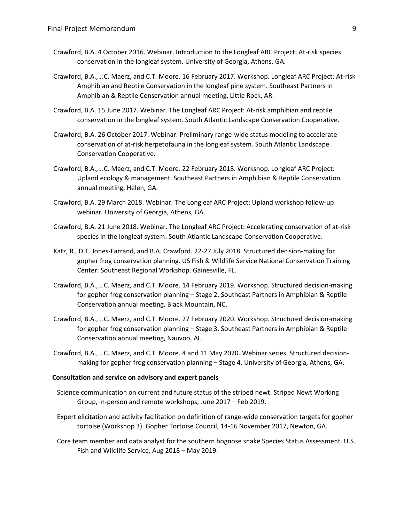- Crawford, B.A. 4 October 2016. Webinar. Introduction to the Longleaf ARC Project: At-risk species conservation in the longleaf system. University of Georgia, Athens, GA.
- Crawford, B.A., J.C. Maerz, and C.T. Moore. 16 February 2017. Workshop. Longleaf ARC Project: At-risk Amphibian and Reptile Conservation in the longleaf pine system. Southeast Partners in Amphibian & Reptile Conservation annual meeting, Little Rock, AR.
- Crawford, B.A. 15 June 2017. Webinar. The Longleaf ARC Project: At-risk amphibian and reptile conservation in the longleaf system. South Atlantic Landscape Conservation Cooperative.
- Crawford, B.A. 26 October 2017. Webinar. Preliminary range-wide status modeling to accelerate conservation of at-risk herpetofauna in the longleaf system. South Atlantic Landscape Conservation Cooperative.
- Crawford, B.A., J.C. Maerz, and C.T. Moore. 22 February 2018. Workshop. Longleaf ARC Project: Upland ecology & management. Southeast Partners in Amphibian & Reptile Conservation annual meeting, Helen, GA.
- Crawford, B.A. 29 March 2018. Webinar. The Longleaf ARC Project: Upland workshop follow-up webinar. University of Georgia, Athens, GA.
- Crawford, B.A. 21 June 2018. Webinar. The Longleaf ARC Project: Accelerating conservation of at-risk species in the longleaf system. South Atlantic Landscape Conservation Cooperative.
- Katz, R., D.T. Jones-Farrand, and B.A. Crawford. 22-27 July 2018. Structured decision-making for gopher frog conservation planning. US Fish & Wildlife Service National Conservation Training Center: Southeast Regional Workshop. Gainesville, FL.
- Crawford, B.A., J.C. Maerz, and C.T. Moore. 14 February 2019. Workshop. Structured decision-making for gopher frog conservation planning – Stage 2. Southeast Partners in Amphibian & Reptile Conservation annual meeting, Black Mountain, NC.
- Crawford, B.A., J.C. Maerz, and C.T. Moore. 27 February 2020. Workshop. Structured decision-making for gopher frog conservation planning – Stage 3. Southeast Partners in Amphibian & Reptile Conservation annual meeting, Nauvoo, AL.
- Crawford, B.A., J.C. Maerz, and C.T. Moore. 4 and 11 May 2020. Webinar series. Structured decisionmaking for gopher frog conservation planning – Stage 4. University of Georgia, Athens, GA.

#### **Consultation and service on advisory and expert panels**

- Science communication on current and future status of the striped newt. Striped Newt Working Group, in-person and remote workshops, June 2017 – Feb 2019.
- Expert elicitation and activity facilitation on definition of range-wide conservation targets for gopher tortoise (Workshop 3). Gopher Tortoise Council, 14-16 November 2017, Newton, GA.
- Core team member and data analyst for the southern hognose snake Species Status Assessment. U.S. Fish and Wildlife Service, Aug 2018 – May 2019.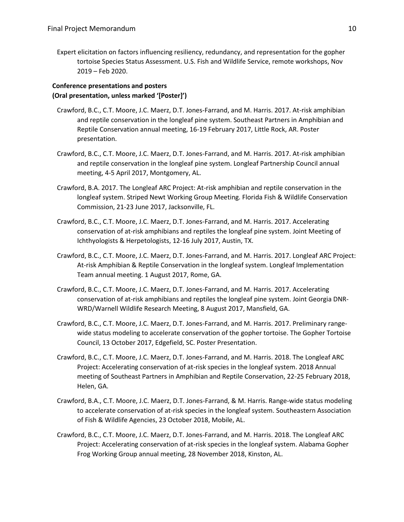Expert elicitation on factors influencing resiliency, redundancy, and representation for the gopher tortoise Species Status Assessment. U.S. Fish and Wildlife Service, remote workshops, Nov 2019 – Feb 2020.

# **Conference presentations and posters (Oral presentation, unless marked '[Poster]')**

- Crawford, B.C., C.T. Moore, J.C. Maerz, D.T. Jones-Farrand, and M. Harris. 2017. At-risk amphibian and reptile conservation in the longleaf pine system. Southeast Partners in Amphibian and Reptile Conservation annual meeting, 16-19 February 2017, Little Rock, AR. Poster presentation.
- Crawford, B.C., C.T. Moore, J.C. Maerz, D.T. Jones-Farrand, and M. Harris. 2017. At-risk amphibian and reptile conservation in the longleaf pine system. Longleaf Partnership Council annual meeting, 4-5 April 2017, Montgomery, AL.
- Crawford, B.A. 2017. The Longleaf ARC Project: At-risk amphibian and reptile conservation in the longleaf system. Striped Newt Working Group Meeting. Florida Fish & Wildlife Conservation Commission, 21-23 June 2017, Jacksonville, FL.
- Crawford, B.C., C.T. Moore, J.C. Maerz, D.T. Jones-Farrand, and M. Harris. 2017. Accelerating conservation of at-risk amphibians and reptiles the longleaf pine system. Joint Meeting of Ichthyologists & Herpetologists, 12-16 July 2017, Austin, TX.
- Crawford, B.C., C.T. Moore, J.C. Maerz, D.T. Jones-Farrand, and M. Harris. 2017. Longleaf ARC Project: At-risk Amphibian & Reptile Conservation in the longleaf system. Longleaf Implementation Team annual meeting. 1 August 2017, Rome, GA.
- Crawford, B.C., C.T. Moore, J.C. Maerz, D.T. Jones-Farrand, and M. Harris. 2017. Accelerating conservation of at-risk amphibians and reptiles the longleaf pine system. Joint Georgia DNR-WRD/Warnell Wildlife Research Meeting, 8 August 2017, Mansfield, GA.
- Crawford, B.C., C.T. Moore, J.C. Maerz, D.T. Jones-Farrand, and M. Harris. 2017. Preliminary rangewide status modeling to accelerate conservation of the gopher tortoise. The Gopher Tortoise Council, 13 October 2017, Edgefield, SC. Poster Presentation.
- Crawford, B.C., C.T. Moore, J.C. Maerz, D.T. Jones-Farrand, and M. Harris. 2018. The Longleaf ARC Project: Accelerating conservation of at-risk species in the longleaf system. 2018 Annual meeting of Southeast Partners in Amphibian and Reptile Conservation, 22-25 February 2018, Helen, GA.
- Crawford, B.A., C.T. Moore, J.C. Maerz, D.T. Jones-Farrand, & M. Harris. Range-wide status modeling to accelerate conservation of at-risk species in the longleaf system. Southeastern Association of Fish & Wildlife Agencies, 23 October 2018, Mobile, AL.
- Crawford, B.C., C.T. Moore, J.C. Maerz, D.T. Jones-Farrand, and M. Harris. 2018. The Longleaf ARC Project: Accelerating conservation of at-risk species in the longleaf system. Alabama Gopher Frog Working Group annual meeting, 28 November 2018, Kinston, AL.